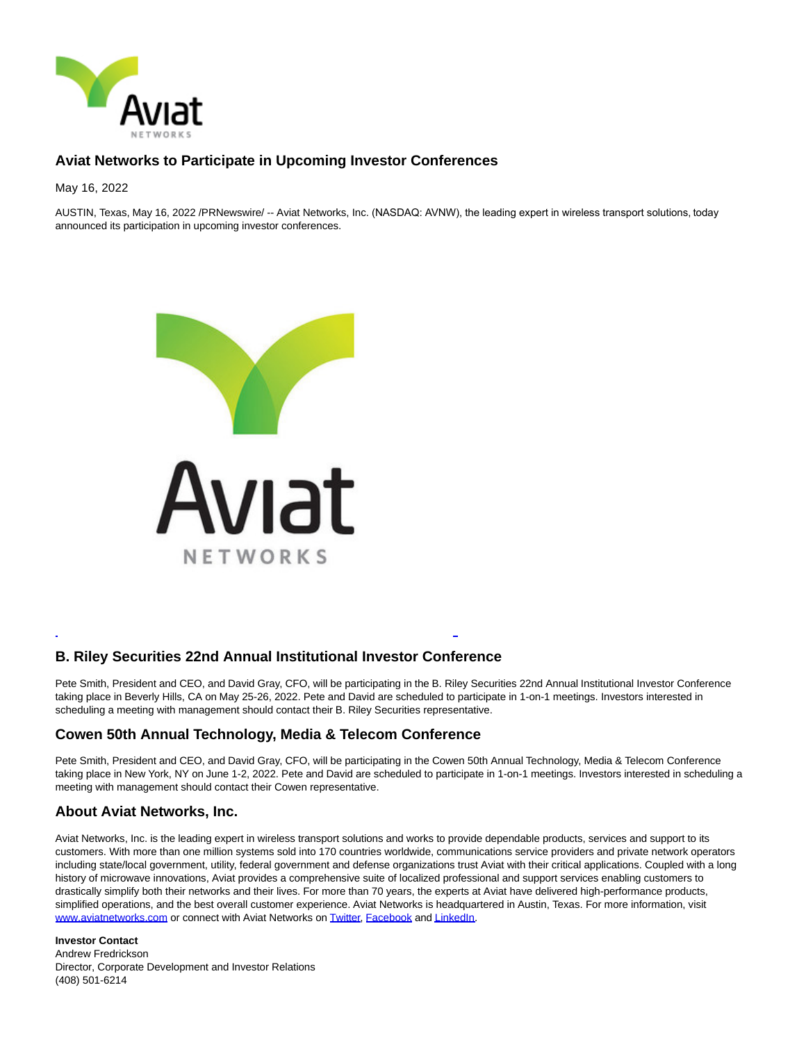

## **Aviat Networks to Participate in Upcoming Investor Conferences**

May 16, 2022

AUSTIN, Texas, May 16, 2022 /PRNewswire/ -- Aviat Networks, Inc. (NASDAQ: AVNW), the leading expert in wireless transport solutions, today announced its participation in upcoming investor conferences.



## **B. Riley Securities 22nd Annual Institutional Investor Conference**

Pete Smith, President and CEO, and David Gray, CFO, will be participating in the B. Riley Securities 22nd Annual Institutional Investor Conference taking place in Beverly Hills, CA on May 25-26, 2022. Pete and David are scheduled to participate in 1-on-1 meetings. Investors interested in scheduling a meeting with management should contact their B. Riley Securities representative.

L

## **Cowen 50th Annual Technology, Media & Telecom Conference**

Pete Smith, President and CEO, and David Gray, CFO, will be participating in the Cowen 50th Annual Technology, Media & Telecom Conference taking place in New York, NY on June 1-2, 2022. Pete and David are scheduled to participate in 1-on-1 meetings. Investors interested in scheduling a meeting with management should contact their Cowen representative.

## **About Aviat Networks, Inc.**

Aviat Networks, Inc. is the leading expert in wireless transport solutions and works to provide dependable products, services and support to its customers. With more than one million systems sold into 170 countries worldwide, communications service providers and private network operators including state/local government, utility, federal government and defense organizations trust Aviat with their critical applications. Coupled with a long history of microwave innovations, Aviat provides a comprehensive suite of localized professional and support services enabling customers to drastically simplify both their networks and their lives. For more than 70 years, the experts at Aviat have delivered high-performance products, simplified operations, and the best overall customer experience. Aviat Networks is headquartered in Austin, Texas. For more information, visit [www.aviatnetworks.com o](https://c212.net/c/link/?t=0&l=en&o=3537942-1&h=578228546&u=https%3A%2F%2Fc212.net%2Fc%2Flink%2F%3Ft%3D0%26l%3Den%26o%3D3507736-1%26h%3D2918328127%26u%3Dhttp%253A%252F%252Fwww.aviatnetworks.com%252F%26a%3Dwww.aviatnetworks.com&a=www.aviatnetworks.com)r connect with Aviat Networks on [Twitter,](https://c212.net/c/link/?t=0&l=en&o=3537942-1&h=543811903&u=https%3A%2F%2Fc212.net%2Fc%2Flink%2F%3Ft%3D0%26l%3Den%26o%3D3507736-1%26h%3D2978803767%26u%3Dhttp%253A%252F%252Ftwitter.com%252F%2523!%252Faviatnetworks%26a%3DTwitter&a=Twitter) [Facebook a](https://c212.net/c/link/?t=0&l=en&o=3537942-1&h=2904299604&u=https%3A%2F%2Fc212.net%2Fc%2Flink%2F%3Ft%3D0%26l%3Den%26o%3D3507736-1%26h%3D1705562013%26u%3Dhttps%253A%252F%252Fwww.facebook.com%252FAviatNet%26a%3DFacebook&a=Facebook)n[d LinkedIn.](https://c212.net/c/link/?t=0&l=en&o=3537942-1&h=2154754957&u=https%3A%2F%2Fc212.net%2Fc%2Flink%2F%3Ft%3D0%26l%3Den%26o%3D3507736-1%26h%3D3034423992%26u%3Dhttp%253A%252F%252Fwww.linkedin.com%252Fcompany%252F779638%253Ftrk%253Dtyah%26a%3DLinkedIn&a=LinkedIn)

**Investor Contact** Andrew Fredrickson Director, Corporate Development and Investor Relations (408) 501-6214